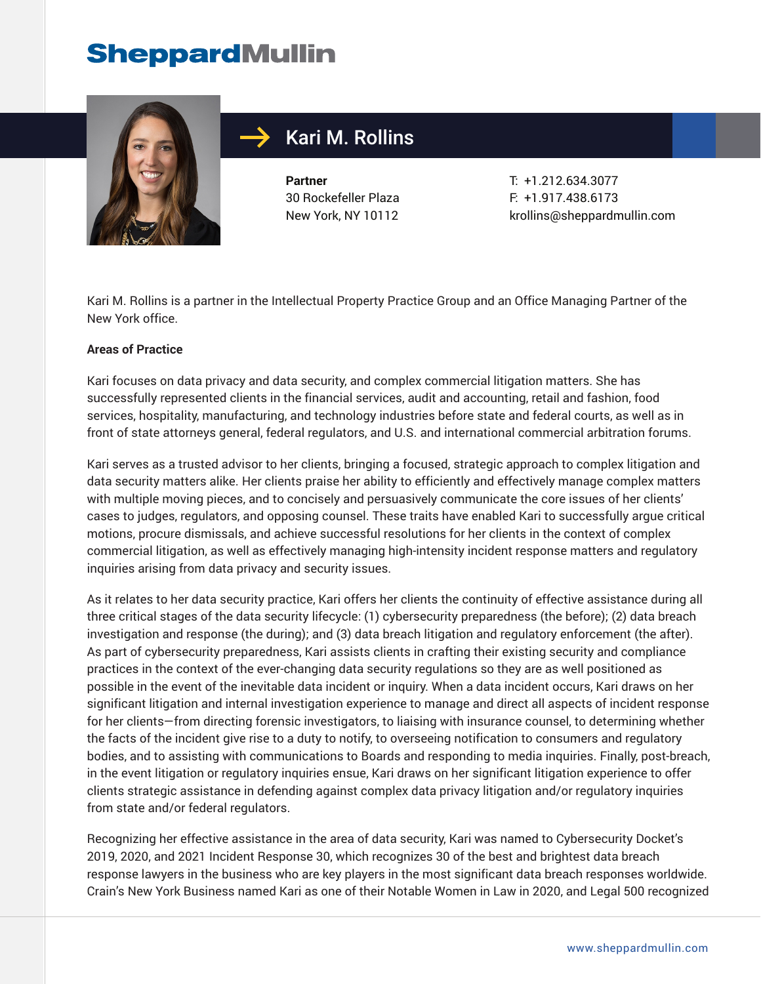

## Kari M. Rollins

**Partner** 30 Rockefeller Plaza New York, NY 10112

T: +1.212.634.3077 F: +1.917.438.6173 krollins@sheppardmullin.com

Kari M. Rollins is a partner in the Intellectual Property Practice Group and an Office Managing Partner of the New York office.

#### **Areas of Practice**

Kari focuses on data privacy and data security, and complex commercial litigation matters. She has successfully represented clients in the financial services, audit and accounting, retail and fashion, food services, hospitality, manufacturing, and technology industries before state and federal courts, as well as in front of state attorneys general, federal regulators, and U.S. and international commercial arbitration forums.

Kari serves as a trusted advisor to her clients, bringing a focused, strategic approach to complex litigation and data security matters alike. Her clients praise her ability to efficiently and effectively manage complex matters with multiple moving pieces, and to concisely and persuasively communicate the core issues of her clients' cases to judges, regulators, and opposing counsel. These traits have enabled Kari to successfully argue critical motions, procure dismissals, and achieve successful resolutions for her clients in the context of complex commercial litigation, as well as effectively managing high-intensity incident response matters and regulatory inquiries arising from data privacy and security issues.

As it relates to her data security practice, Kari offers her clients the continuity of effective assistance during all three critical stages of the data security lifecycle: (1) cybersecurity preparedness (the before); (2) data breach investigation and response (the during); and (3) data breach litigation and regulatory enforcement (the after). As part of cybersecurity preparedness, Kari assists clients in crafting their existing security and compliance practices in the context of the ever-changing data security regulations so they are as well positioned as possible in the event of the inevitable data incident or inquiry. When a data incident occurs, Kari draws on her significant litigation and internal investigation experience to manage and direct all aspects of incident response for her clients—from directing forensic investigators, to liaising with insurance counsel, to determining whether the facts of the incident give rise to a duty to notify, to overseeing notification to consumers and regulatory bodies, and to assisting with communications to Boards and responding to media inquiries. Finally, post-breach, in the event litigation or regulatory inquiries ensue, Kari draws on her significant litigation experience to offer clients strategic assistance in defending against complex data privacy litigation and/or regulatory inquiries from state and/or federal regulators.

Recognizing her effective assistance in the area of data security, Kari was named to Cybersecurity Docket's 2019, 2020, and 2021 Incident Response 30, which recognizes 30 of the best and brightest data breach response lawyers in the business who are key players in the most significant data breach responses worldwide. Crain's New York Business named Kari as one of their Notable Women in Law in 2020, and Legal 500 recognized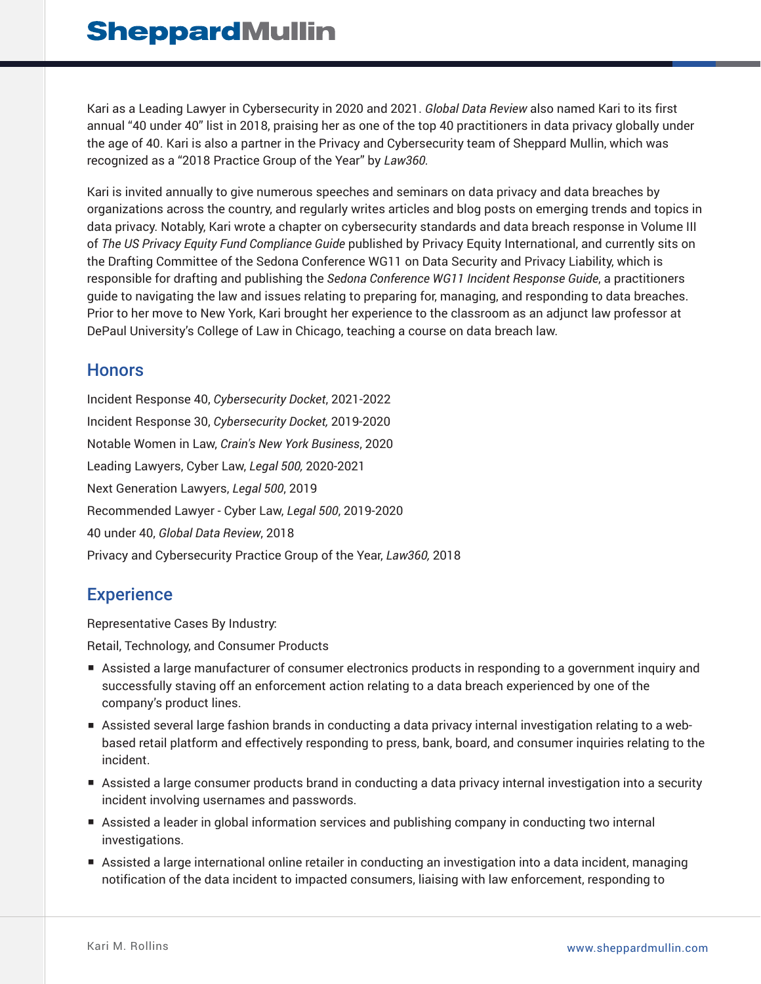Kari as a Leading Lawyer in Cybersecurity in 2020 and 2021. *Global Data Review* also named Kari to its first annual "40 under 40" list in 2018, praising her as one of the top 40 practitioners in data privacy globally under the age of 40. Kari is also a partner in the Privacy and Cybersecurity team of Sheppard Mullin, which was recognized as a "2018 Practice Group of the Year" by *Law360.*

Kari is invited annually to give numerous speeches and seminars on data privacy and data breaches by organizations across the country, and regularly writes articles and blog posts on emerging trends and topics in data privacy. Notably, Kari wrote a chapter on cybersecurity standards and data breach response in Volume III of *The US Privacy Equity Fund Compliance Guide* published by Privacy Equity International, and currently sits on the Drafting Committee of the Sedona Conference WG11 on Data Security and Privacy Liability, which is responsible for drafting and publishing the *Sedona Conference WG11 Incident Response Guide*, a practitioners guide to navigating the law and issues relating to preparing for, managing, and responding to data breaches. Prior to her move to New York, Kari brought her experience to the classroom as an adjunct law professor at DePaul University's College of Law in Chicago, teaching a course on data breach law.

## Honors

Incident Response 40, *Cybersecurity Docket*, 2021-2022 Incident Response 30, *Cybersecurity Docket,* 2019-2020 Notable Women in Law, *Crain's New York Business*, 2020 Leading Lawyers, Cyber Law, *Legal 500,* 2020-2021 Next Generation Lawyers, *Legal 500*, 2019 Recommended Lawyer - Cyber Law, *Legal 500*, 2019-2020 40 under 40, *Global Data Review*, 2018 Privacy and Cybersecurity Practice Group of the Year, *Law360,* 2018

## **Experience**

Representative Cases By Industry: Retail, Technology, and Consumer Products

- Assisted a large manufacturer of consumer electronics products in responding to a government inquiry and successfully staving off an enforcement action relating to a data breach experienced by one of the company's product lines.
- Assisted several large fashion brands in conducting a data privacy internal investigation relating to a webbased retail platform and effectively responding to press, bank, board, and consumer inquiries relating to the incident.
- Assisted a large consumer products brand in conducting a data privacy internal investigation into a security incident involving usernames and passwords.
- Assisted a leader in global information services and publishing company in conducting two internal investigations.
- Assisted a large international online retailer in conducting an investigation into a data incident, managing notification of the data incident to impacted consumers, liaising with law enforcement, responding to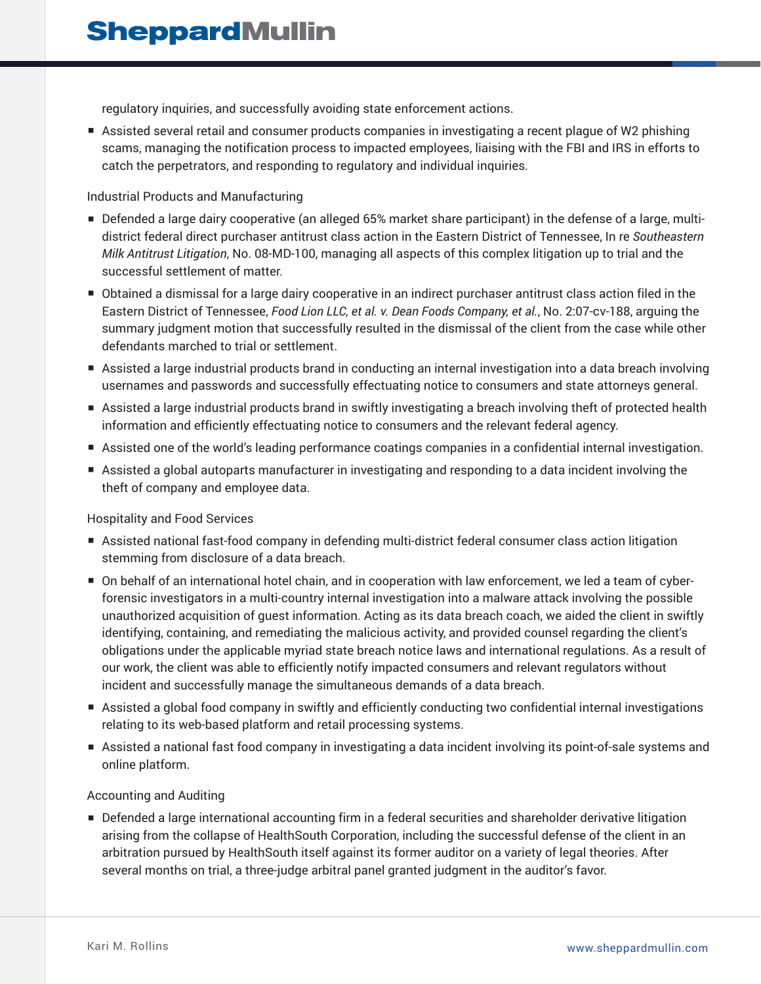regulatory inquiries, and successfully avoiding state enforcement actions.

■ Assisted several retail and consumer products companies in investigating a recent plague of W2 phishing scams, managing the notification process to impacted employees, liaising with the FBI and IRS in efforts to catch the perpetrators, and responding to regulatory and individual inquiries.

#### Industrial Products and Manufacturing

- Defended a large dairy cooperative (an alleged 65% market share participant) in the defense of a large, multidistrict federal direct purchaser antitrust class action in the Eastern District of Tennessee, In re *Southeastern Milk Antitrust Litigation*, No. 08-MD-100, managing all aspects of this complex litigation up to trial and the successful settlement of matter.
- Obtained a dismissal for a large dairy cooperative in an indirect purchaser antitrust class action filed in the Eastern District of Tennessee, *Food Lion LLC, et al. v. Dean Foods Company, et al.*, No. 2:07-cv-188, arguing the summary judgment motion that successfully resulted in the dismissal of the client from the case while other defendants marched to trial or settlement.
- Assisted a large industrial products brand in conducting an internal investigation into a data breach involving usernames and passwords and successfully effectuating notice to consumers and state attorneys general.
- Assisted a large industrial products brand in swiftly investigating a breach involving theft of protected health information and efficiently effectuating notice to consumers and the relevant federal agency.
- Assisted one of the world's leading performance coatings companies in a confidential internal investigation.
- Assisted a global autoparts manufacturer in investigating and responding to a data incident involving the theft of company and employee data.

#### Hospitality and Food Services

- Assisted national fast-food company in defending multi-district federal consumer class action litigation stemming from disclosure of a data breach.
- On behalf of an international hotel chain, and in cooperation with law enforcement, we led a team of cyberforensic investigators in a multi-country internal investigation into a malware attack involving the possible unauthorized acquisition of guest information. Acting as its data breach coach, we aided the client in swiftly identifying, containing, and remediating the malicious activity, and provided counsel regarding the client's obligations under the applicable myriad state breach notice laws and international regulations. As a result of our work, the client was able to efficiently notify impacted consumers and relevant regulators without incident and successfully manage the simultaneous demands of a data breach.
- Assisted a global food company in swiftly and efficiently conducting two confidential internal investigations relating to its web-based platform and retail processing systems.
- Assisted a national fast food company in investigating a data incident involving its point-of-sale systems and online platform.

#### Accounting and Auditing

■ Defended a large international accounting firm in a federal securities and shareholder derivative litigation arising from the collapse of HealthSouth Corporation, including the successful defense of the client in an arbitration pursued by HealthSouth itself against its former auditor on a variety of legal theories. After several months on trial, a three-judge arbitral panel granted judgment in the auditor's favor.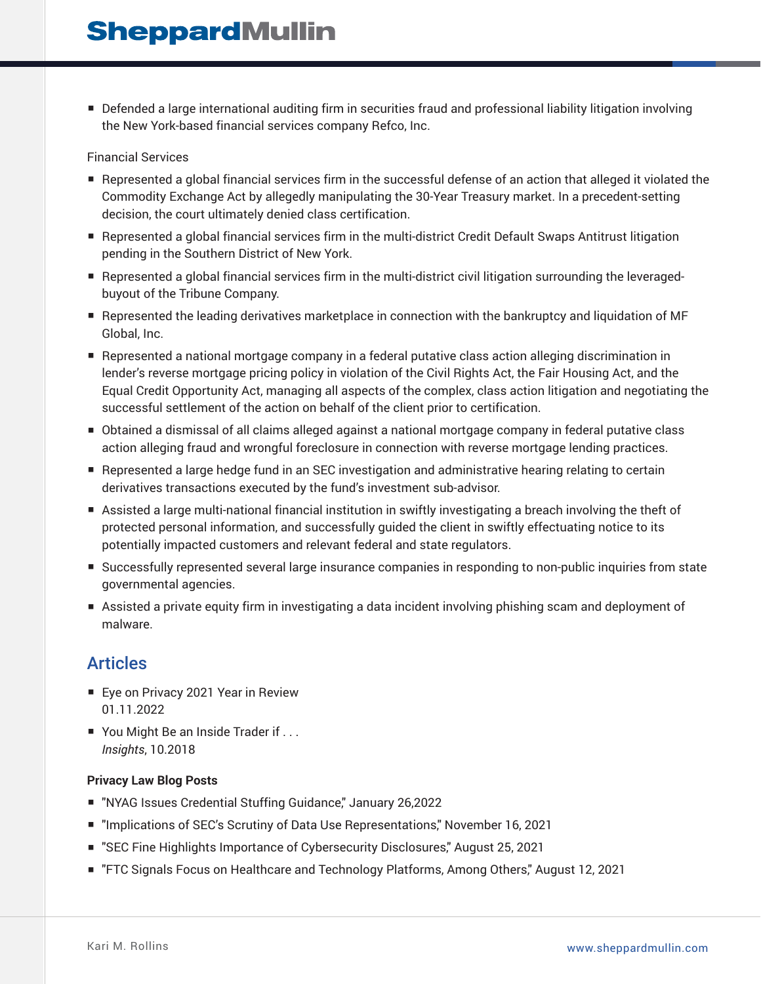■ Defended a large international auditing firm in securities fraud and professional liability litigation involving the New York-based financial services company Refco, Inc.

#### Financial Services

- Represented a global financial services firm in the successful defense of an action that alleged it violated the Commodity Exchange Act by allegedly manipulating the 30-Year Treasury market. In a precedent-setting decision, the court ultimately denied class certification.
- Represented a global financial services firm in the multi-district Credit Default Swaps Antitrust litigation pending in the Southern District of New York.
- Represented a global financial services firm in the multi-district civil litigation surrounding the leveragedbuyout of the Tribune Company.
- Represented the leading derivatives marketplace in connection with the bankruptcy and liquidation of MF Global, Inc.
- Represented a national mortgage company in a federal putative class action alleging discrimination in lender's reverse mortgage pricing policy in violation of the Civil Rights Act, the Fair Housing Act, and the Equal Credit Opportunity Act, managing all aspects of the complex, class action litigation and negotiating the successful settlement of the action on behalf of the client prior to certification.
- Obtained a dismissal of all claims alleged against a national mortgage company in federal putative class action alleging fraud and wrongful foreclosure in connection with reverse mortgage lending practices.
- Represented a large hedge fund in an SEC investigation and administrative hearing relating to certain derivatives transactions executed by the fund's investment sub-advisor.
- Assisted a large multi-national financial institution in swiftly investigating a breach involving the theft of protected personal information, and successfully guided the client in swiftly effectuating notice to its potentially impacted customers and relevant federal and state regulators.
- Successfully represented several large insurance companies in responding to non-public inquiries from state governmental agencies.
- Assisted a private equity firm in investigating a data incident involving phishing scam and deployment of malware.

### Articles

- Eye on Privacy 2021 Year in Review 01.11.2022
- You Might Be an Inside Trader if . . . *Insights*, 10.2018

#### **Privacy Law Blog Posts**

- "NYAG Issues Credential Stuffing Guidance," January 26,2022
- "Implications of SEC's Scrutiny of Data Use Representations," November 16, 2021
- "SEC Fine Highlights Importance of Cybersecurity Disclosures," August 25, 2021
- "FTC Signals Focus on Healthcare and Technology Platforms, Among Others," August 12, 2021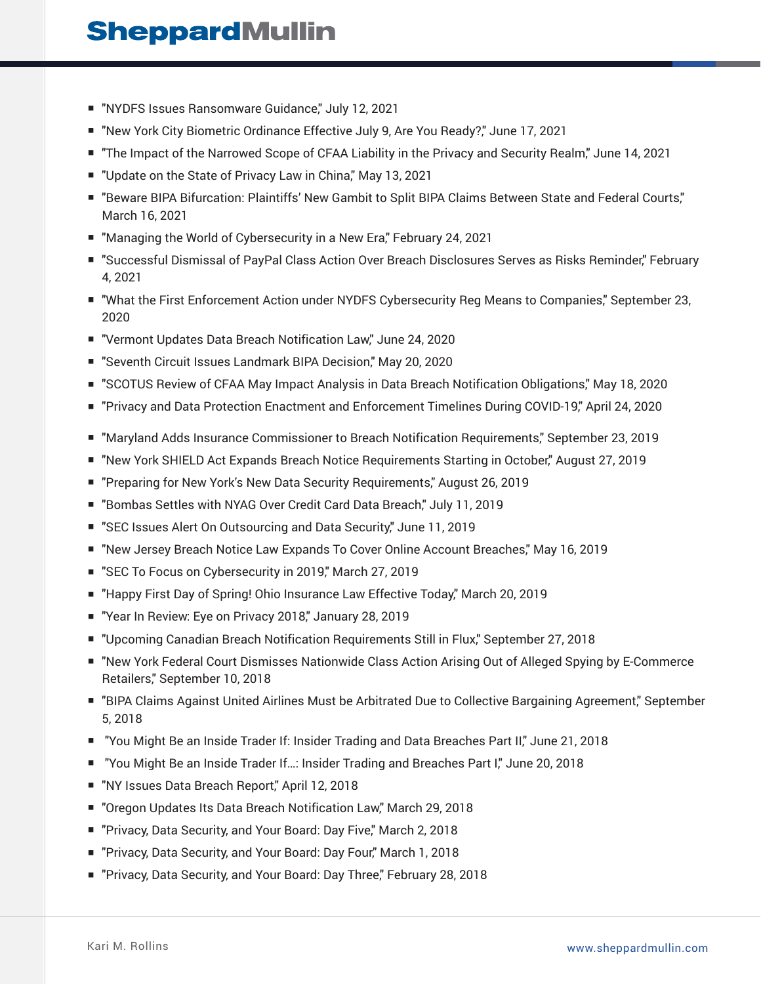- "NYDFS Issues Ransomware Guidance," July 12, 2021
- "New York City Biometric Ordinance Effective July 9, Are You Ready?" June 17, 2021
- "The Impact of the Narrowed Scope of CFAA Liability in the Privacy and Security Realm," June 14, 2021
- "Update on the State of Privacy Law in China," May 13, 2021
- "Beware BIPA Bifurcation: Plaintiffs' New Gambit to Split BIPA Claims Between State and Federal Courts," March 16, 2021
- "Managing the World of Cybersecurity in a New Era," February 24, 2021
- "Successful Dismissal of PayPal Class Action Over Breach Disclosures Serves as Risks Reminder," February 4, 2021
- "What the First Enforcement Action under NYDFS Cybersecurity Reg Means to Companies," September 23, 2020
- "Vermont Updates Data Breach Notification Law," June 24, 2020
- "Seventh Circuit Issues Landmark BIPA Decision," May 20, 2020
- "SCOTUS Review of CFAA May Impact Analysis in Data Breach Notification Obligations," May 18, 2020
- "Privacy and Data Protection Enactment and Enforcement Timelines During COVID-19" April 24, 2020
- "Maryland Adds Insurance Commissioner to Breach Notification Requirements," September 23, 2019
- "New York SHIELD Act Expands Breach Notice Requirements Starting in October," August 27, 2019
- "Preparing for New York's New Data Security Requirements," August 26, 2019
- "Bombas Settles with NYAG Over Credit Card Data Breach," July 11, 2019
- "SEC Issues Alert On Outsourcing and Data Security," June 11, 2019
- "New Jersey Breach Notice Law Expands To Cover Online Account Breaches," May 16, 2019
- "SEC To Focus on Cybersecurity in 2019," March 27, 2019
- "Happy First Day of Spring! Ohio Insurance Law Effective Today," March 20, 2019
- "Year In Review: Eye on Privacy 2018," January 28, 2019
- "Upcoming Canadian Breach Notification Requirements Still in Flux," September 27, 2018
- "New York Federal Court Dismisses Nationwide Class Action Arising Out of Alleged Spying by E-Commerce Retailers," September 10, 2018
- "BIPA Claims Against United Airlines Must be Arbitrated Due to Collective Bargaining Agreement," September 5, 2018
- "You Might Be an Inside Trader If: Insider Trading and Data Breaches Part II," June 21, 2018
- "You Might Be an Inside Trader If...: Insider Trading and Breaches Part I," June 20, 2018
- "NY Issues Data Breach Report," April 12, 2018
- "Oregon Updates Its Data Breach Notification Law," March 29, 2018
- "Privacy, Data Security, and Your Board: Day Five," March 2, 2018
- "Privacy, Data Security, and Your Board: Day Four," March 1, 2018
- "Privacy, Data Security, and Your Board: Day Three," February 28, 2018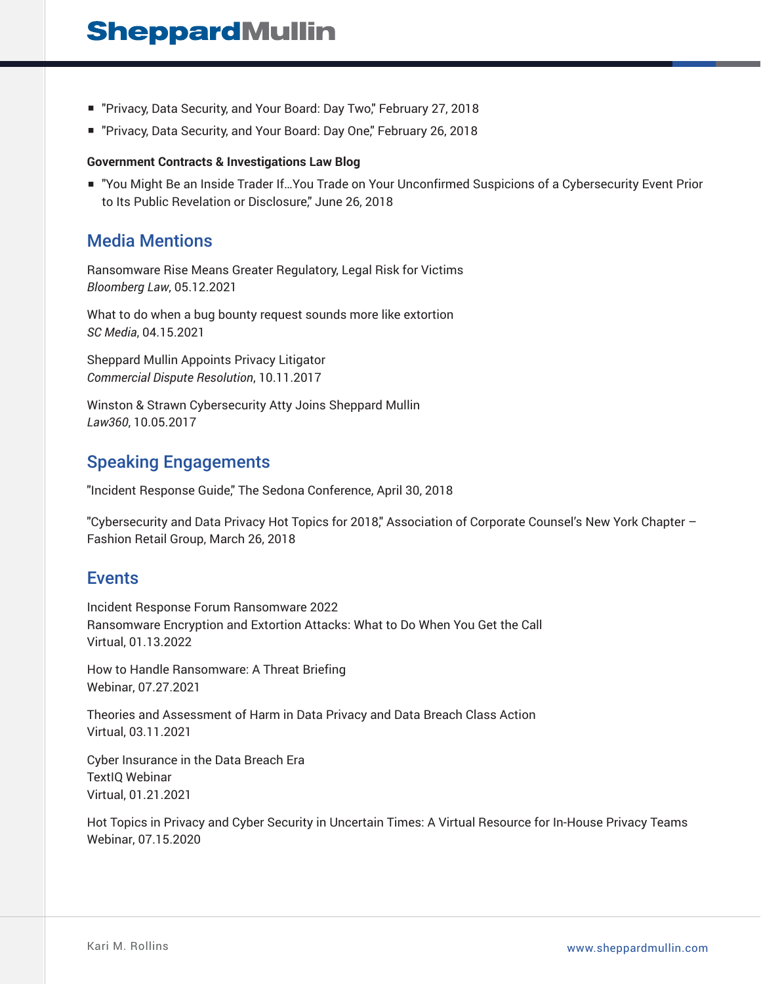- "Privacy, Data Security, and Your Board: Day Two," February 27, 2018
- "Privacy, Data Security, and Your Board: Day One," February 26, 2018

#### **Government Contracts & Investigations Law Blog**

■ "You Might Be an Inside Trader If…You Trade on Your Unconfirmed Suspicions of a Cybersecurity Event Prior to Its Public Revelation or Disclosure," June 26, 2018

### Media Mentions

Ransomware Rise Means Greater Regulatory, Legal Risk for Victims *Bloomberg Law*, 05.12.2021

What to do when a bug bounty request sounds more like extortion *SC Media*, 04.15.2021

Sheppard Mullin Appoints Privacy Litigator *Commercial Dispute Resolution*, 10.11.2017

Winston & Strawn Cybersecurity Atty Joins Sheppard Mullin *Law360*, 10.05.2017

### Speaking Engagements

"Incident Response Guide," The Sedona Conference, April 30, 2018

"Cybersecurity and Data Privacy Hot Topics for 2018," Association of Corporate Counsel's New York Chapter – Fashion Retail Group, March 26, 2018

### Events

Incident Response Forum Ransomware 2022 Ransomware Encryption and Extortion Attacks: What to Do When You Get the Call Virtual, 01.13.2022

How to Handle Ransomware: A Threat Briefing Webinar, 07.27.2021

Theories and Assessment of Harm in Data Privacy and Data Breach Class Action Virtual, 03.11.2021

Cyber Insurance in the Data Breach Era TextIQ Webinar Virtual, 01.21.2021

Hot Topics in Privacy and Cyber Security in Uncertain Times: A Virtual Resource for In-House Privacy Teams Webinar, 07.15.2020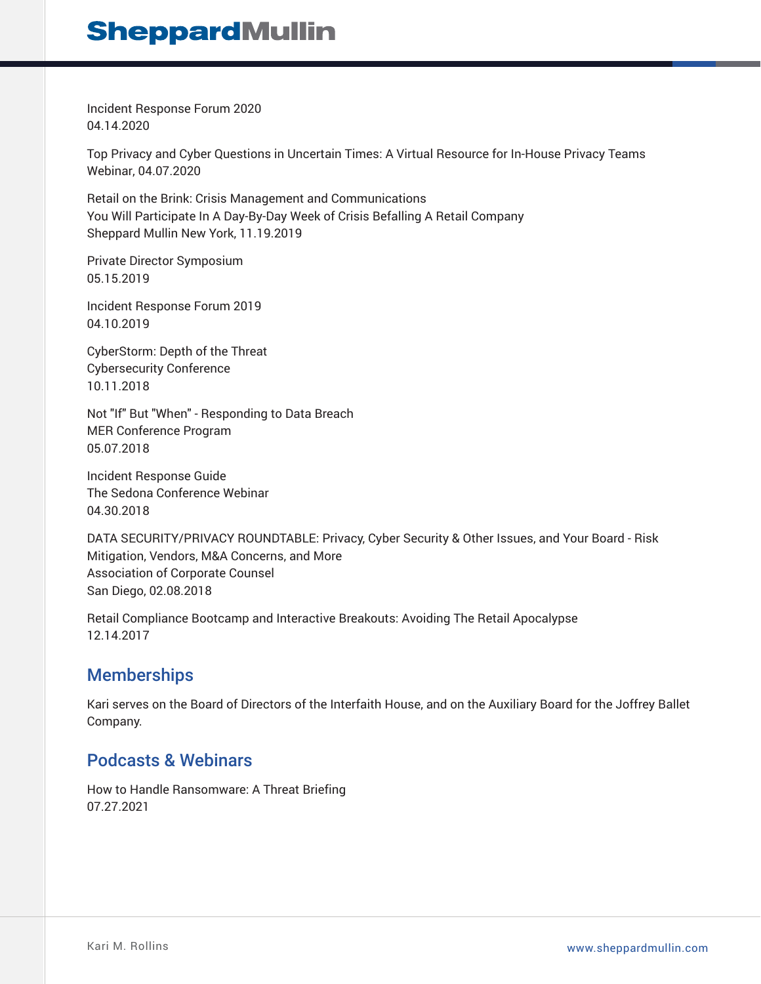Incident Response Forum 2020 04.14.2020

Top Privacy and Cyber Questions in Uncertain Times: A Virtual Resource for In-House Privacy Teams Webinar, 04.07.2020

Retail on the Brink: Crisis Management and Communications You Will Participate In A Day-By-Day Week of Crisis Befalling A Retail Company Sheppard Mullin New York, 11.19.2019

Private Director Symposium 05.15.2019

Incident Response Forum 2019 04.10.2019

CyberStorm: Depth of the Threat Cybersecurity Conference 10.11.2018

Not "If" But "When" - Responding to Data Breach MER Conference Program 05.07.2018

Incident Response Guide The Sedona Conference Webinar 04.30.2018

DATA SECURITY/PRIVACY ROUNDTABLE: Privacy, Cyber Security & Other Issues, and Your Board - Risk Mitigation, Vendors, M&A Concerns, and More Association of Corporate Counsel San Diego, 02.08.2018

Retail Compliance Bootcamp and Interactive Breakouts: Avoiding The Retail Apocalypse 12.14.2017

## **Memberships**

Kari serves on the Board of Directors of the Interfaith House, and on the Auxiliary Board for the Joffrey Ballet Company.

## Podcasts & Webinars

How to Handle Ransomware: A Threat Briefing 07.27.2021